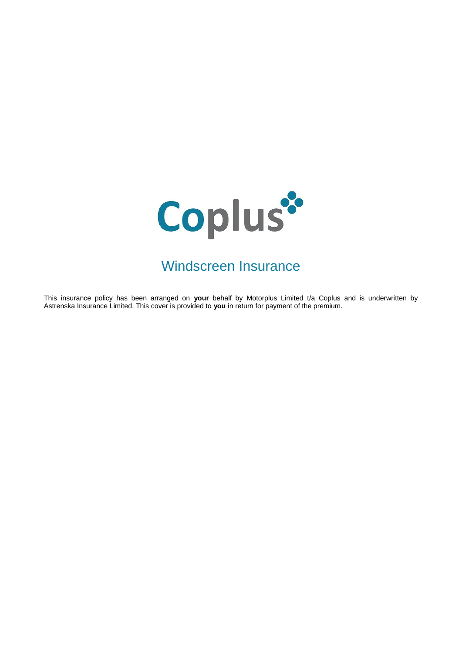

# Windscreen Insurance

This insurance policy has been arranged on **your** behalf by Motorplus Limited t/a Coplus and is underwritten by Astrenska Insurance Limited. This cover is provided to **you** in return for payment of the premium.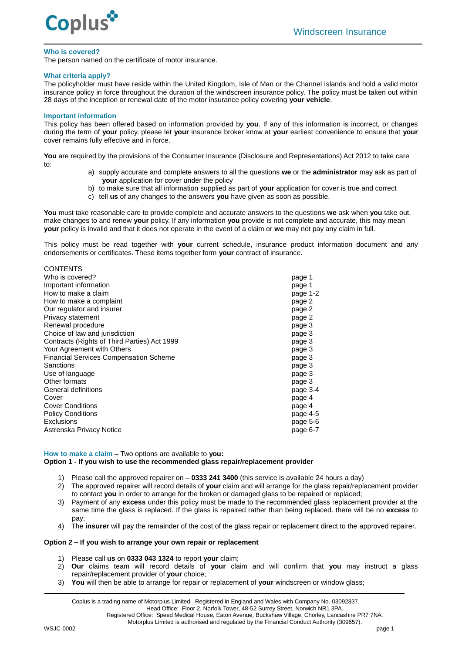

#### **Who is covered?**

The person named on the certificate of motor insurance.

#### **What criteria apply?**

The policyholder must have reside within the United Kingdom, Isle of Man or the Channel Islands and hold a valid motor insurance policy in force throughout the duration of the windscreen insurance policy. The policy must be taken out within 28 days of the inception or renewal date of the motor insurance policy covering **your vehicle**.

#### **Important information**

CONTENTS

This policy has been offered based on information provided by **you**. If any of this information is incorrect, or changes during the term of **your** policy, please let **your** insurance broker know at **your** earliest convenience to ensure that **your** cover remains fully effective and in force.

**You** are required by the provisions of the Consumer Insurance (Disclosure and Representations) Act 2012 to take care to:

- a) supply accurate and complete answers to all the questions **we** or the **administrator** may ask as part of **your** application for cover under the policy
- b) to make sure that all information supplied as part of **your** application for cover is true and correct
- c) tell **us** of any changes to the answers **you** have given as soon as possible.

**You** must take reasonable care to provide complete and accurate answers to the questions **we** ask when **you** take out, make changes to and renew **your** policy. If any information **you** provide is not complete and accurate, this may mean **your** policy is invalid and that it does not operate in the event of a claim or **we** may not pay any claim in full.

This policy must be read together with **your** current schedule, insurance product information document and any endorsements or certificates. These items together form **your** contract of insurance.

| <b>UUNIENI</b> J                              |          |
|-----------------------------------------------|----------|
| Who is covered?                               | page 1   |
| Important information                         | page 1   |
| How to make a claim                           | page 1-2 |
| How to make a complaint                       | page 2   |
| Our regulator and insurer                     | page 2   |
| Privacy statement                             | page 2   |
| Renewal procedure                             | page 3   |
| Choice of law and jurisdiction                | page 3   |
| Contracts (Rights of Third Parties) Act 1999  | page 3   |
| Your Agreement with Others                    | page 3   |
| <b>Financial Services Compensation Scheme</b> | page 3   |
| Sanctions                                     | page 3   |
| Use of language                               | page 3   |
| Other formats                                 | page 3   |
| General definitions                           | page 3-4 |
| Cover                                         | page 4   |
| <b>Cover Conditions</b>                       | page 4   |
| <b>Policy Conditions</b>                      | page 4-5 |
| Exclusions                                    | page 5-6 |
| Astrenska Privacy Notice                      | page 6-7 |
|                                               |          |

**How to make a claim –** Two options are available to **you: Option 1 - If you wish to use the recommended glass repair/replacement provider**

- 1) Please call the approved repairer on **0333 241 3400** (this service is available 24 hours a day)
- 2) The approved repairer will record details of **your** claim and will arrange for the glass repair/replacement provider to contact **you** in order to arrange for the broken or damaged glass to be repaired or replaced;
- 3) Payment of any **excess** under this policy must be made to the recommended glass replacement provider at the same time the glass is replaced. If the glass is repaired rather than being replaced. there will be no **excess** to pay
- 4) The **insurer** will pay the remainder of the cost of the glass repair or replacement direct to the approved repairer.

# **Option 2 – If you wish to arrange your own repair or replacement**

- 1) Please call **us** on **0333 043 1324** to report **your** claim;
- 2) **Our** claims team will record details of **your** claim and will confirm that **you** may instruct a glass repair/replacement provider of **your** choice;
- 3) **You** will then be able to arrange for repair or replacement of **your** windscreen or window glass;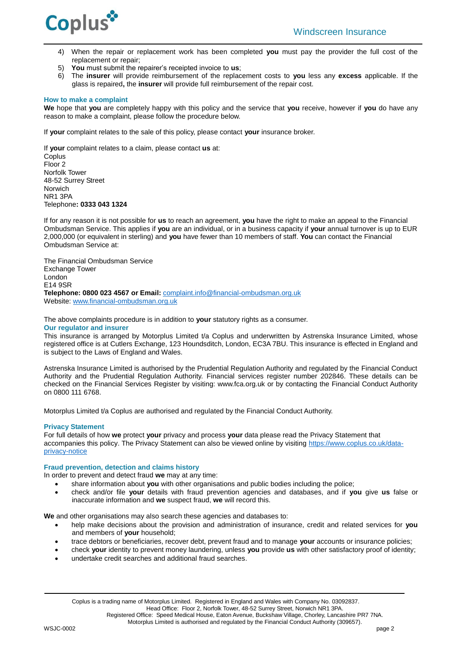

- 4) When the repair or replacement work has been completed **you** must pay the provider the full cost of the replacement or repair;
- 5) **You** must submit the repairer's receipted invoice to **us**;
- 6) The **insurer** will provide reimbursement of the replacement costs to **you** less any **excess** applicable. If the glass is repaired**,** the **insurer** will provide full reimbursement of the repair cost.

#### **How to make a complaint**

**We** hope that **you** are completely happy with this policy and the service that **you** receive, however if **you** do have any reason to make a complaint, please follow the procedure below.

If **your** complaint relates to the sale of this policy, please contact **your** insurance broker.

If **your** complaint relates to a claim, please contact **us** at: Coplus Floor 2 Norfolk Tower 48-52 Surrey Street Norwich NR1 3PA Telephone**: 0333 043 1324**

If for any reason it is not possible for **us** to reach an agreement, **you** have the right to make an appeal to the Financial Ombudsman Service. This applies if **you** are an individual, or in a business capacity if **your** annual turnover is up to EUR 2,000,000 (or equivalent in sterling) and **you** have fewer than 10 members of staff. **You** can contact the Financial Ombudsman Service at:

The Financial Ombudsman Service Exchange Tower London E14 9SR **Telephone: 0800 023 4567 or Email:** [complaint.info@financial-ombudsman.org.uk](mailto:complaint.info@financial-ombudsman.org.uk) Website: [www.financial-ombudsman.org.uk](http://www.financial-ombudsman.org.uk/)

The above complaints procedure is in addition to **your** statutory rights as a consumer.

#### **Our regulator and insurer**

This insurance is arranged by Motorplus Limited t/a Coplus and underwritten by Astrenska Insurance Limited, whose registered office is at Cutlers Exchange, 123 Houndsditch, London, EC3A 7BU. This insurance is effected in England and is subject to the Laws of England and Wales.

Astrenska Insurance Limited is authorised by the Prudential Regulation Authority and regulated by the Financial Conduct Authority and the Prudential Regulation Authority. Financial services register number 202846. These details can be checked on the Financial Services Register by visiting: www.fca.org.uk or by contacting the Financial Conduct Authority on 0800 111 6768.

Motorplus Limited t/a Coplus are authorised and regulated by the Financial Conduct Authority.

# **Privacy Statement**

For full details of how **we** protect **your** privacy and process **your** data please read the Privacy Statement that accompanies this policy. The Privacy Statement can also be viewed online by visiting [https://www.coplus.co.uk/data](https://www.coplus.co.uk/data-privacy-notice/)[privacy-notice](https://www.coplus.co.uk/data-privacy-notice/)

# **Fraud prevention, detection and claims history**

In order to prevent and detect fraud **we** may at any time:

- share information about **you** with other organisations and public bodies including the police;
- check and/or file **your** details with fraud prevention agencies and databases, and if **you** give **us** false or inaccurate information and **we** suspect fraud, **we** will record this.

**We** and other organisations may also search these agencies and databases to:

- help make decisions about the provision and administration of insurance, credit and related services for **you** and members of **your** household;
- trace debtors or beneficiaries, recover debt, prevent fraud and to manage **your** accounts or insurance policies;
- check **your** identity to prevent money laundering, unless **you** provide **us** with other satisfactory proof of identity;
- undertake credit searches and additional fraud searches.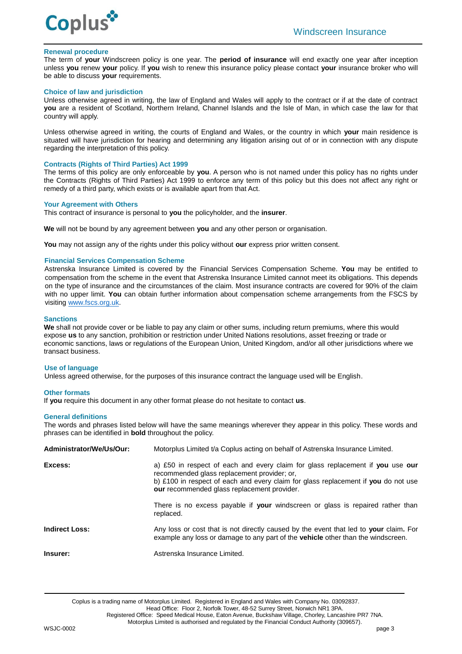

#### **Renewal procedure**

The term of **your** Windscreen policy is one year. The **period of insurance** will end exactly one year after inception unless **you** renew **your** policy. If **you** wish to renew this insurance policy please contact **your** insurance broker who will be able to discuss **your** requirements.

#### **Choice of law and jurisdiction**

Unless otherwise agreed in writing, the law of England and Wales will apply to the contract or if at the date of contract **you** are a resident of Scotland, Northern Ireland, Channel Islands and the Isle of Man, in which case the law for that country will apply.

Unless otherwise agreed in writing, the courts of England and Wales, or the country in which **your** main residence is situated will have jurisdiction for hearing and determining any litigation arising out of or in connection with any dispute regarding the interpretation of this policy.

#### **Contracts (Rights of Third Parties) Act 1999**

The terms of this policy are only enforceable by **you**. A person who is not named under this policy has no rights under the Contracts (Rights of Third Parties) Act 1999 to enforce any term of this policy but this does not affect any right or remedy of a third party, which exists or is available apart from that Act.

#### **Your Agreement with Others**

This contract of insurance is personal to **you** the policyholder, and the **insurer**.

**We** will not be bound by any agreement between **you** and any other person or organisation.

**You** may not assign any of the rights under this policy without **our** express prior written consent.

#### **Financial Services Compensation Scheme**

Astrenska Insurance Limited is covered by the Financial Services Compensation Scheme. **You** may be entitled to compensation from the scheme in the event that Astrenska Insurance Limited cannot meet its obligations. This depends on the type of insurance and the circumstances of the claim. Most insurance contracts are covered for 90% of the claim with no upper limit. **You** can obtain further information about compensation scheme arrangements from the FSCS by visiting [www.fscs.org.uk.](http://www.fscs.org.uk/)

#### **Sanctions**

**We** shall not provide cover or be liable to pay any claim or other sums, including return premiums, where this would expose **us** to any sanction, prohibition or restriction under United Nations resolutions, asset freezing or trade or economic sanctions, laws or regulations of the European Union, United Kingdom, and/or all other jurisdictions where we transact business.

#### **Use of language**

Unless agreed otherwise, for the purposes of this insurance contract the language used will be English.

#### **Other formats**

If **you** require this document in any other format please do not hesitate to contact **us**.

# **General definitions**

The words and phrases listed below will have the same meanings wherever they appear in this policy. These words and phrases can be identified in **bold** throughout the policy.

| Administrator/We/Us/Our: | Motorplus Limited t/a Coplus acting on behalf of Astrenska Insurance Limited.                                                                                                                                                                                      |
|--------------------------|--------------------------------------------------------------------------------------------------------------------------------------------------------------------------------------------------------------------------------------------------------------------|
| Excess:                  | a) £50 in respect of each and every claim for glass replacement if you use our<br>recommended glass replacement provider; or,<br>b) £100 in respect of each and every claim for glass replacement if you do not use<br>our recommended glass replacement provider. |
|                          | There is no excess payable if your windscreen or glass is repaired rather than<br>replaced.                                                                                                                                                                        |
| <b>Indirect Loss:</b>    | Any loss or cost that is not directly caused by the event that led to your claim. For<br>example any loss or damage to any part of the vehicle other than the windscreen.                                                                                          |
| Insurer:                 | Astrenska Insurance Limited.                                                                                                                                                                                                                                       |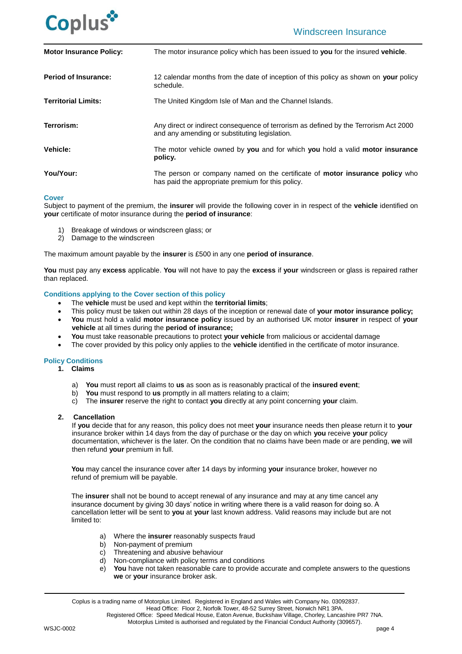

| <b>Motor Insurance Policy:</b> | The motor insurance policy which has been issued to you for the insured vehicle.                                                         |
|--------------------------------|------------------------------------------------------------------------------------------------------------------------------------------|
| <b>Period of Insurance:</b>    | 12 calendar months from the date of inception of this policy as shown on your policy<br>schedule.                                        |
| <b>Territorial Limits:</b>     | The United Kingdom Isle of Man and the Channel Islands.                                                                                  |
| Terrorism:                     | Any direct or indirect consequence of terrorism as defined by the Terrorism Act 2000<br>and any amending or substituting legislation.    |
| <b>Vehicle:</b>                | The motor vehicle owned by you and for which you hold a valid motor insurance<br>policy.                                                 |
| You/Your:                      | The person or company named on the certificate of <b>motor insurance policy</b> who<br>has paid the appropriate premium for this policy. |

# **Cover**

Subject to payment of the premium, the **insurer** will provide the following cover in in respect of the **vehicle** identified on **your** certificate of motor insurance during the **period of insurance**:

- 1) Breakage of windows or windscreen glass; or
- 2) Damage to the windscreen

The maximum amount payable by the **insurer** is £500 in any one **period of insurance**.

**You** must pay any **excess** applicable. **You** will not have to pay the **excess** if **your** windscreen or glass is repaired rather than replaced.

# **Conditions applying to the Cover section of this policy**

- The **vehicle** must be used and kept within the **territorial limits**;
- This policy must be taken out within 28 days of the inception or renewal date of **your motor insurance policy;**
- **You** must hold a valid **motor insurance policy** issued by an authorised UK motor **insurer** in respect of **your vehicle** at all times during the **period of insurance;**
- **You** must take reasonable precautions to protect **your vehicle** from malicious or accidental damage
- The cover provided by this policy only applies to the **vehicle** identified in the certificate of motor insurance.

# **Policy Conditions**

- **1. Claims**
	- a) **You** must report all claims to **us** as soon as is reasonably practical of the **insured event**;
	- b) **You** must respond to **us** promptly in all matters relating to a claim;
	- c) The **insurer** reserve the right to contact **you** directly at any point concerning **your** claim.

#### **2. Cancellation**

If **you** decide that for any reason, this policy does not meet **your** insurance needs then please return it to **your**  insurance broker within 14 days from the day of purchase or the day on which **you** receive **your** policy documentation, whichever is the later. On the condition that no claims have been made or are pending, **we** will then refund **your** premium in full.

**You** may cancel the insurance cover after 14 days by informing **your** insurance broker, however no refund of premium will be payable.

The **insurer** shall not be bound to accept renewal of any insurance and may at any time cancel any insurance document by giving 30 days' notice in writing where there is a valid reason for doing so. A cancellation letter will be sent to **you** at **your** last known address. Valid reasons may include but are not limited to:

- a) Where the **insurer** reasonably suspects fraud
- b) Non-payment of premium
- c) Threatening and abusive behaviour
- d) Non-compliance with policy terms and conditions
- e) **You** have not taken reasonable care to provide accurate and complete answers to the questions **we** or **your** insurance broker ask.

Coplus is a trading name of Motorplus Limited. Registered in England and Wales with Company No. 03092837.

Head Office: Floor 2, Norfolk Tower, 48-52 Surrey Street, Norwich NR1 3PA.

Registered Office: Speed Medical House, Eaton Avenue, Buckshaw Village, Chorley, Lancashire PR7 7NA. Motorplus Limited is authorised and regulated by the Financial Conduct Authority (309657).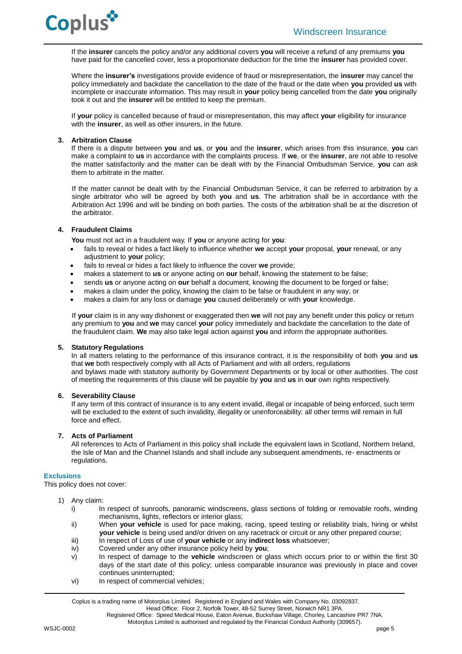If the **insurer** cancels the policy and/or any additional covers **you** will receive a refund of any premiums **you** have paid for the cancelled cover, less a proportionate deduction for the time the **insurer** has provided cover.

Where the **insurer's** investigations provide evidence of fraud or misrepresentation, the **insurer** may cancel the policy immediately and backdate the cancellation to the date of the fraud or the date when **you** provided **us** with incomplete or inaccurate information. This may result in **your** policy being cancelled from the date **you** originally took it out and the **insurer** will be entitled to keep the premium.

If **your** policy is cancelled because of fraud or misrepresentation, this may affect **your** eligibility for insurance with the **insurer**, as well as other insurers, in the future.

# **3. Arbitration Clause**

If there is a dispute between **you** and **us**, or **you** and the **insurer**, which arises from this insurance, **you** can make a complaint to **us** in accordance with the complaints process. If **we**, or the **insurer**, are not able to resolve the matter satisfactorily and the matter can be dealt with by the Financial Ombudsman Service, **you** can ask them to arbitrate in the matter.

If the matter cannot be dealt with by the Financial Ombudsman Service, it can be referred to arbitration by a single arbitrator who will be agreed by both **you** and **us**. The arbitration shall be in accordance with the Arbitration Act 1996 and will be binding on both parties. The costs of the arbitration shall be at the discretion of the arbitrator.

# **4. Fraudulent Claims**

**You** must not act in a fraudulent way. If **you** or anyone acting for **you**:

- fails to reveal or hides a fact likely to influence whether **we** accept **your** proposal, **your** renewal, or any adjustment to **your** policy;
- fails to reveal or hides a fact likely to influence the cover **we** provide;
- makes a statement to **us** or anyone acting on **our** behalf, knowing the statement to be false;
- sends **us** or anyone acting on **our** behalf a document, knowing the document to be forged or false;
- makes a claim under the policy, knowing the claim to be false or fraudulent in any way; or
- makes a claim for any loss or damage **you** caused deliberately or with **your** knowledge.

If **your** claim is in any way dishonest or exaggerated then **we** will not pay any benefit under this policy or return any premium to **you** and **we** may cancel **your** policy immediately and backdate the cancellation to the date of the fraudulent claim. **We** may also take legal action against **you** and inform the appropriate authorities.

# **5. Statutory Regulations**

In all matters relating to the performance of this insurance contract, it is the responsibility of both **you** and **us** that **we** both respectively comply with all Acts of Parliament and with all orders, regulations and bylaws made with statutory authority by Government Departments or by local or other authorities. The cost of meeting the requirements of this clause will be payable by **you** and **us** in **our** own rights respectively.

# **6. Severability Clause**

If any term of this contract of insurance is to any extent invalid, illegal or incapable of being enforced, such term will be excluded to the extent of such invalidity, illegality or unenforceability; all other terms will remain in full force and effect.

# **7. Acts of Parliament**

All references to Acts of Parliament in this policy shall include the equivalent laws in Scotland, Northern Ireland, the Isle of Man and the Channel Islands and shall include any subsequent amendments, re- enactments or regulations.

# **Exclusions**

This policy does not cover:

- 1) Any claim:
	- i) In respect of sunroofs, panoramic windscreens, glass sections of folding or removable roofs, winding mechanisms, lights, reflectors or interior glass;
	- ii) When **your vehicle** is used for pace making, racing, speed testing or reliability trials, hiring or whilst **your vehicle** is being used and/or driven on any racetrack or circuit or any other prepared course;
	- iii) In respect of Loss of use of **your vehicle** or any **indirect loss** whatsoever;
	- iv) Covered under any other insurance policy held by **you**;
	- v) In respect of damage to the **vehicle** windscreen or glass which occurs prior to or within the first 30 days of the start date of this policy; unless comparable insurance was previously in place and cover continues uninterrupted;
	- vi) In respect of commercial vehicles;

Coplus is a trading name of Motorplus Limited. Registered in England and Wales with Company No. 03092837.

Head Office: Floor 2, Norfolk Tower, 48-52 Surrey Street, Norwich NR1 3PA.

Registered Office: Speed Medical House, Eaton Avenue, Buckshaw Village, Chorley, Lancashire PR7 7NA.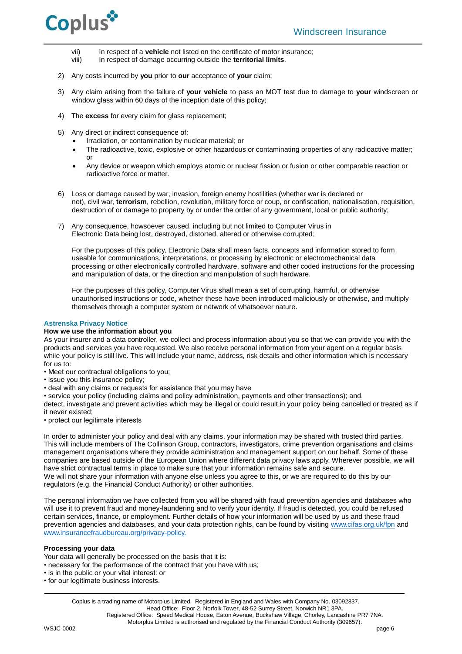

- vii) In respect of a **vehicle** not listed on the certificate of motor insurance;
- viii) In respect of damage occurring outside the **territorial limits**.
- 2) Any costs incurred by **you** prior to **our** acceptance of **your** claim;
- 3) Any claim arising from the failure of **your vehicle** to pass an MOT test due to damage to **your** windscreen or window glass within 60 days of the inception date of this policy:
- 4) The **excess** for every claim for glass replacement;
- 5) Any direct or indirect consequence of:
	- Irradiation, or contamination by nuclear material; or
	- The radioactive, toxic, explosive or other hazardous or contaminating properties of any radioactive matter; or
	- Any device or weapon which employs atomic or nuclear fission or fusion or other comparable reaction or radioactive force or matter.
- 6) Loss or damage caused by war, invasion, foreign enemy hostilities (whether war is declared or not), civil war, **terrorism**, rebellion, revolution, military force or coup, or confiscation, nationalisation, requisition, destruction of or damage to property by or under the order of any government, local or public authority;
- 7) Any consequence, howsoever caused, including but not limited to Computer Virus in Electronic Data being lost, destroyed, distorted, altered or otherwise corrupted;

For the purposes of this policy, Electronic Data shall mean facts, concepts and information stored to form useable for communications, interpretations, or processing by electronic or electromechanical data processing or other electronically controlled hardware, software and other coded instructions for the processing and manipulation of data, or the direction and manipulation of such hardware.

For the purposes of this policy, Computer Virus shall mean a set of corrupting, harmful, or otherwise unauthorised instructions or code, whether these have been introduced maliciously or otherwise, and multiply themselves through a computer system or network of whatsoever nature.

# **Astrenska Privacy Notice**

# **How we use the information about you**

As your insurer and a data controller, we collect and process information about you so that we can provide you with the products and services you have requested. We also receive personal information from your agent on a regular basis while your policy is still live. This will include your name, address, risk details and other information which is necessary for us to:

- Meet our contractual obligations to you;
- issue you this insurance policy;
- deal with any claims or requests for assistance that you may have
- service your policy (including claims and policy administration, payments and other transactions); and,

detect, investigate and prevent activities which may be illegal or could result in your policy being cancelled or treated as if it never existed;

• protect our legitimate interests

In order to administer your policy and deal with any claims, your information may be shared with trusted third parties. This will include members of The Collinson Group, contractors, investigators, crime prevention organisations and claims management organisations where they provide administration and management support on our behalf. Some of these companies are based outside of the European Union where different data privacy laws apply. Wherever possible, we will have strict contractual terms in place to make sure that your information remains safe and secure. We will not share your information with anyone else unless you agree to this, or we are required to do this by our regulators (e.g. the Financial Conduct Authority) or other authorities.

The personal information we have collected from you will be shared with fraud prevention agencies and databases who will use it to prevent fraud and money-laundering and to verify your identity. If fraud is detected, you could be refused certain services, finance, or employment. Further details of how your information will be used by us and these fraud prevention agencies and databases, and your data protection rights, can be found by visiting [www.cifas.org.uk/fpn](file://///mp-fp01/files/Commercial/Ops%20forms%20&%20Check%20lists/Check%20lists/Templates/www.cifas.org.uk/fpn) and [www.insurancefraudbureau.org/privacy-policy.](http://www.insurancefraudbureau.org/privacy-policy)

# **Processing your data**

Your data will generally be processed on the basis that it is:

- necessary for the performance of the contract that you have with us;
- is in the public or your vital interest: or
- for our legitimate business interests.